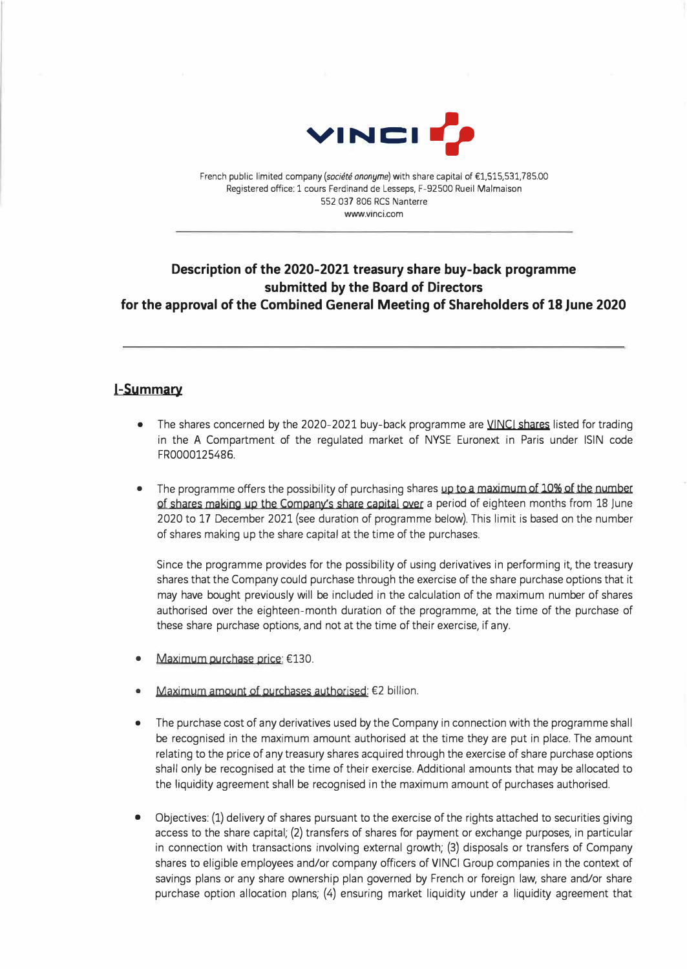

French public limited company *(société anonyme)* with share capital of €1,515,531,785.00 Registered office: 1 cours Ferdinand de Lesseps, F-92500 Rueil Malmaison 552 037 806 RCS Nanterre www.vinci.com

# **Description of the 2020-2021 treasury share buy-back programme submitted by the Board of Directors for the approval of the Combined General Meeting of Shareholders of 18 June 2020**

### **1-Summary**

- The shares concerned by the 2020-2021 buy-back programme are VINCI shares listed for trading in the A Compartment of the regulated market of NYSE Euronext in Paris under ISIN code FR000012 5486.
- The programme offers the possibility of purchasing shares up to a maximum of 10% of the number of shares making up the Company's share capital over a period of eighteen months from 18 June 2020 to 17 December 2021 (see duration of programme below). This limit is based on the number of shares making up the share capital at the time of the purchases.

Since the programme provides for the possibility of using derivatives in performing it, the treasury shares that the Company could purchase through the exercise of the share purchase options that it may have bought previously will be included in the calculation of the maximum number of shares authorised over the eighteen-month duration of the programme, at the time of the purchase of these share purchase options, and not at the time of their exercise, if any.

- Maximum purchase price: €130.
- Maximum amount of purchases authorised: €2 billion.
- The purchase cost of any derivatives used by the Company in connection with the programme shall be recognised in the maximum amount authorised at the time they are put in place. The amount relating to the price of any treasury shares acquired through the exercise of share purchase options shall only be recognised at the time of their exercise. Additional amounts that may be allocated to the liquidity agreement shall be recognised in the maximum amount of purchases authorised.
- Objectives: (1) delivery of shares pursuant to the exercise of the rights attached to securities giving access to the share capital; (2) transfers of shares for payment or exchange purposes, in particular in connection with transactions involving external growth; (3) disposais or transfers of Company shares to eligible employees and/or company officers of VINCI Group companies in the context of savings plans or any share ownership plan governed by French or foreign law, share and/or share purchase option allocation plans; (4) ensuring market liquidity under a liquidity agreement that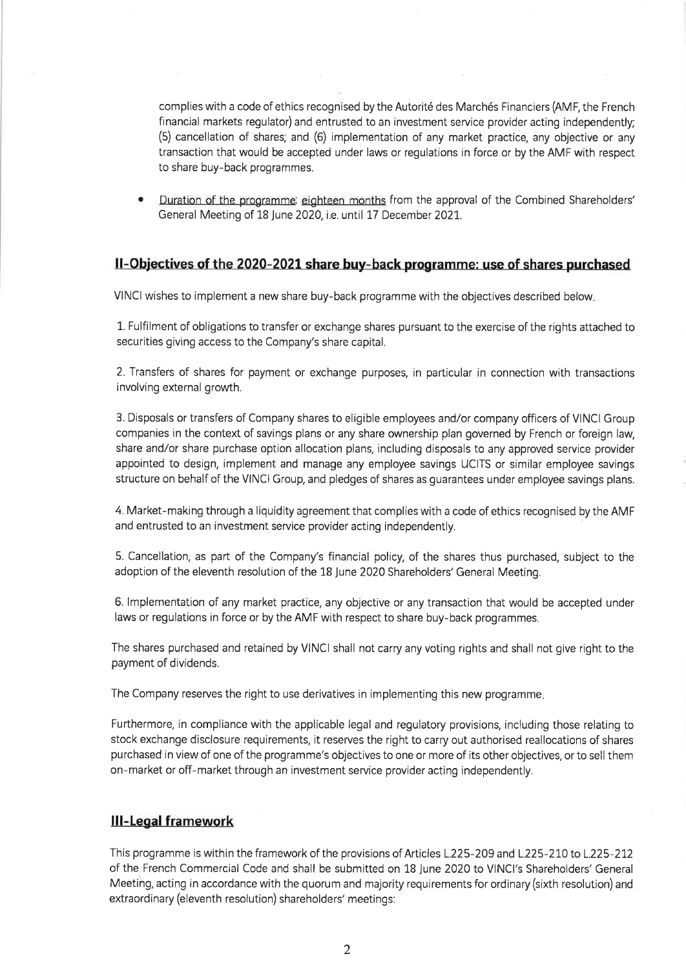complies with a code of ethics recognised by the Autorité des Marchés Financiers (AMF, the French financial markets regulator) and entrusted to an investment service provider acting independently; (5) cancellation of shares; and (6) implementation of any market practice, any objective or any transaction that would be accepted under laws or regulations in force or by the AMF with respect to share buy-back programmes.

Duration of the programme: eighteen months from the approval of the Combined Shareholders' General Meeting of 18 June 2020, i.e. until 17 December 2021.

## II-Objectives of the 2020-2021 share buy-back programme: use of shares purchased

VINCI wishes to implement a new share buy-back programme with the objectives described below.

1. Fulfilment of obligations to transfer or exchange shares pursuant to the exercise of the rights attached to securities giving access to the Company's share capital.

2. Transfers of shares for payment or exchange purposes, in particular in connection with transactions involving external growth.

3. Disposals or transfers of Company shares to eligible employees and/or company officers of VINCI Group companies in the context of savings plans or any share ownership plan governed by French or foreign law, share and/or share purchase option allocation plans, including disposals to any approved service provider appointed to design, implement and manage any employee savings UCITS or similar employee savings structure on behalf of the VINCI Group, and pledges of shares as guarantees under employee savings plans.

4. Market-making through a liquidity agreement that complies with a code of ethics recognised by the AMF and entrusted to an investment service provider acting independently.

5. Cancellation, as part of the Company's financial policy, of the shares thus purchased, subject to the adoption of the eleventh resolution of the 18 June 2020 Shareholders' General Meeting.

6. Implementation of any market practice, any objective or any transaction that would be accepted under laws or regulations in force or by the AMF with respect to share buy-back programmes.

The shares purchased and retained by VINCI shall not carry any voting rights and shall not give right to the payment of dividends.

The Company reserves the right to use derivatives in implementing this new programme.

Furthermore, in compliance with the applicable legal and regulatory provisions, including those relating to stock exchange disclosure requirements, it reserves the right to carry out authorised reallocations of shares purchased in view of one of the programme's objectives to one or more of its other objectives, or to sell them on-market or off-market through an investment service provider acting independently.

# **III-Legal framework**

This programme is within the framework of the provisions of Articles L.225-209 and L.225-210 to L.225-212 of the French Commercial Code and shall be submitted on 18 June 2020 to VINCI's Shareholders' General Meeting, acting in accordance with the quorum and majority requirements for ordinary (sixth resolution) and extraordinary (eleventh resolution) shareholders' meetings: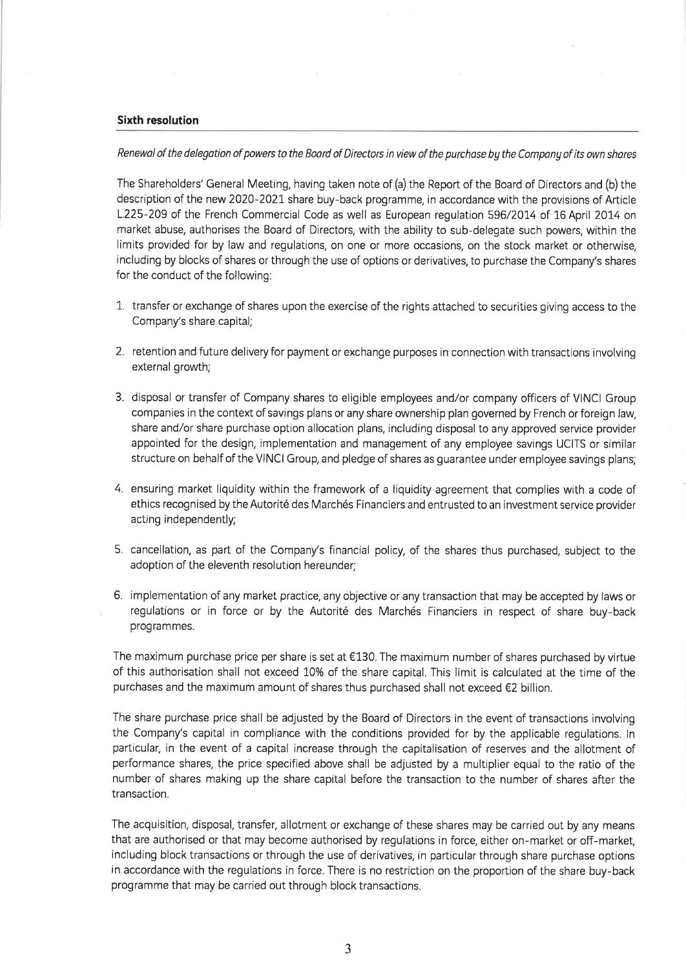#### **Sixth resolution**

#### Renewal of the delegation of powers to the Board of Directors in view of the purchase by the Company of its own shares

The Shareholders' General Meeting, having taken note of (a) the Report of the Board of Directors and (b) the description of the new 2020-2021 share buy-back programme, in accordance with the provisions of Article L.225-209 of the French Commercial Code as well as European regulation 596/2014 of 16 April 2014 on market abuse, authorises the Board of Directors, with the ability to sub-delegate such powers, within the limits provided for by law and regulations, on one or more occasions, on the stock market or otherwise, including by blocks of shares or through the use of options or derivatives, to purchase the Company's shares for the conduct of the following:

- 1. transfer or exchange of shares upon the exercise of the rights attached to securities giving access to the Company's share capital;
- 2. retention and future delivery for payment or exchange purposes in connection with transactions involving external growth;
- 3. disposal or transfer of Company shares to eligible employees and/or company officers of VINCI Group companies in the context of savings plans or any share ownership plan governed by French or foreign law, share and/or share purchase option allocation plans, including disposal to any approved service provider appointed for the design, implementation and management of any employee savings UCITS or similar structure on behalf of the VINCI Group, and pledge of shares as guarantee under employee savings plans;
- 4. ensuring market liquidity within the framework of a liquidity agreement that complies with a code of ethics recognised by the Autorité des Marchés Financiers and entrusted to an investment service provider acting independently;
- 5. cancellation, as part of the Company's financial policy, of the shares thus purchased, subject to the adoption of the eleventh resolution hereunder;
- 6. implementation of any market practice, any objective or any transaction that may be accepted by laws or regulations or in force or by the Autorité des Marchés Financiers in respect of share buy-back programmes.

The maximum purchase price per share is set at  $£130$ . The maximum number of shares purchased by virtue of this authorisation shall not exceed 10% of the share capital. This limit is calculated at the time of the purchases and the maximum amount of shares thus purchased shall not exceed €2 billion.

The share purchase price shall be adjusted by the Board of Directors in the event of transactions involving the Company's capital in compliance with the conditions provided for by the applicable regulations. In particular, in the event of a capital increase through the capitalisation of reserves and the allotment of performance shares, the price specified above shall be adjusted by a multiplier equal to the ratio of the number of shares making up the share capital before the transaction to the number of shares after the transaction.

The acquisition, disposal, transfer, allotment or exchange of these shares may be carried out by any means that are authorised or that may become authorised by regulations in force, either on-market or off-market, including block transactions or through the use of derivatives, in particular through share purchase options in accordance with the regulations in force. There is no restriction on the proportion of the share buy-back programme that may be carried out through block transactions.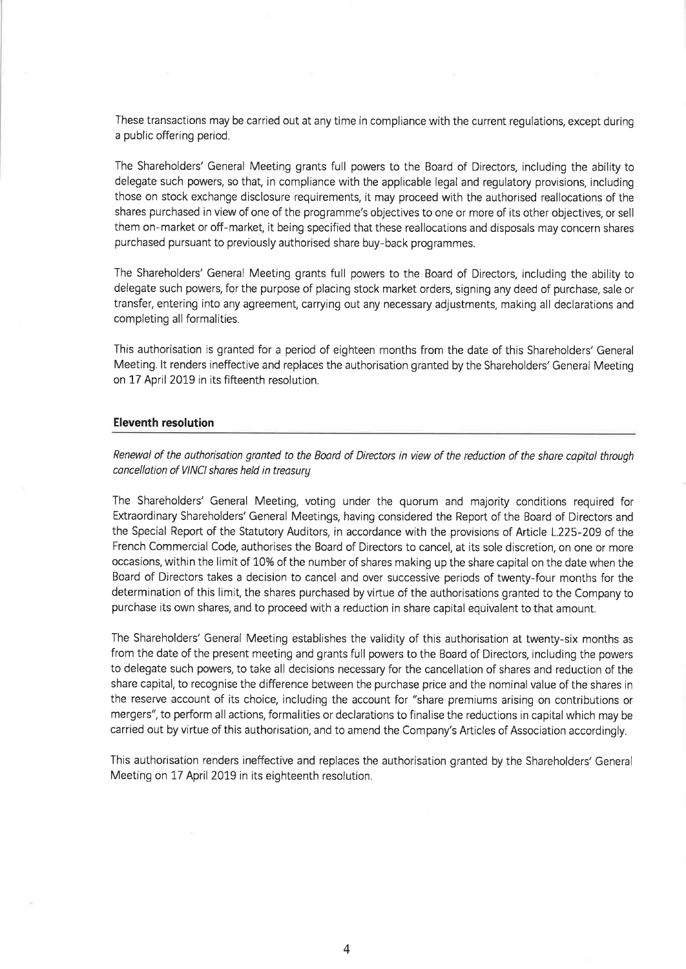These transactions may be carried out at any time in compliance with the current regulations, except during a public offering period.

The Shareholders' General Meeting grants full powers to the Board of Directors, including the ability to delegate such powers, so that, in compliance with the applicable legal and regulatory provisions, including those on stock exchange disclosure requirements, it may proceed with the authorised reallocations of the shares purchased in view of one of the programme's objectives to one or more of its other objectives, or sell them on-market or off-market, it being specified that these reallocations and disposals may concern shares purchased pursuant to previously authorised share buy-back programmes.

The Shareholders' General Meeting grants full powers to the Board of Directors, including the ability to delegate such powers, for the purpose of placing stock market orders, signing any deed of purchase, sale or transfer, entering into any agreement, carrying out any necessary adjustments, making all declarations and completing all formalities.

This authorisation is granted for a period of eighteen months from the date of this Shareholders' General Meeting. It renders ineffective and replaces the authorisation granted by the Shareholders' General Meeting on 17 April 2019 in its fifteenth resolution.

#### **Eleventh resolution**

Renewal of the authorisation granted to the Board of Directors in view of the reduction of the share capital through cancellation of VINCI shares held in treasury

The Shareholders' General Meeting, voting under the quorum and majority conditions required for Extraordinary Shareholders' General Meetings, having considered the Report of the Board of Directors and the Special Report of the Statutory Auditors, in accordance with the provisions of Article L.225-209 of the French Commercial Code, authorises the Board of Directors to cancel, at its sole discretion, on one or more occasions, within the limit of 10% of the number of shares making up the share capital on the date when the Board of Directors takes a decision to cancel and over successive periods of twenty-four months for the determination of this limit, the shares purchased by virtue of the authorisations granted to the Company to purchase its own shares, and to proceed with a reduction in share capital equivalent to that amount.

The Shareholders' General Meeting establishes the validity of this authorisation at twenty-six months as from the date of the present meeting and grants full powers to the Board of Directors, including the powers to delegate such powers, to take all decisions necessary for the cancellation of shares and reduction of the share capital, to recognise the difference between the purchase price and the nominal value of the shares in the reserve account of its choice, including the account for "share premiums arising on contributions or mergers", to perform all actions, formalities or declarations to finalise the reductions in capital which may be carried out by virtue of this authorisation, and to amend the Company's Articles of Association accordingly.

This authorisation renders ineffective and replaces the authorisation granted by the Shareholders' General Meeting on 17 April 2019 in its eighteenth resolution.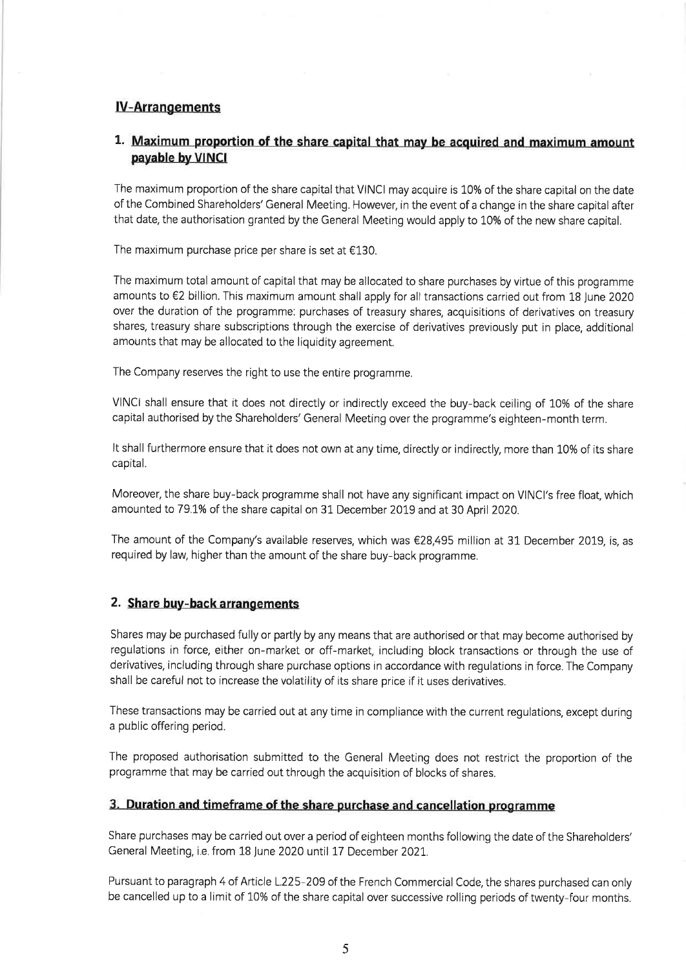# **IV-Arrangements**

## 1. Maximum proportion of the share capital that may be acquired and maximum amount payable by VINCI

The maximum proportion of the share capital that VINCI may acquire is 10% of the share capital on the date of the Combined Shareholders' General Meeting. However, in the event of a change in the share capital after that date, the authorisation granted by the General Meeting would apply to 10% of the new share capital.

The maximum purchase price per share is set at  $£130$ .

The maximum total amount of capital that may be allocated to share purchases by virtue of this programme amounts to €2 billion. This maximum amount shall apply for all transactions carried out from 18 June 2020 over the duration of the programme: purchases of treasury shares, acquisitions of derivatives on treasury shares, treasury share subscriptions through the exercise of derivatives previously put in place, additional amounts that may be allocated to the liquidity agreement.

The Company reserves the right to use the entire programme.

VINCI shall ensure that it does not directly or indirectly exceed the buy-back ceiling of 10% of the share capital authorised by the Shareholders' General Meeting over the programme's eighteen-month term.

It shall furthermore ensure that it does not own at any time, directly or indirectly, more than 10% of its share capital.

Moreover, the share buy-back programme shall not have any significant impact on VINCI's free float, which amounted to 79.1% of the share capital on 31 December 2019 and at 30 April 2020.

The amount of the Company's available reserves, which was  $\epsilon$ 28,495 million at 31 December 2019, is, as required by law, higher than the amount of the share buy-back programme.

### 2. Share buy-back arrangements

Shares may be purchased fully or partly by any means that are authorised or that may become authorised by regulations in force, either on-market or off-market, including block transactions or through the use of derivatives, including through share purchase options in accordance with requlations in force. The Company shall be careful not to increase the volatility of its share price if it uses derivatives.

These transactions may be carried out at any time in compliance with the current regulations, except during a public offering period.

The proposed authorisation submitted to the General Meeting does not restrict the proportion of the programme that may be carried out through the acquisition of blocks of shares.

### 3. Duration and timeframe of the share purchase and cancellation programme

Share purchases may be carried out over a period of eighteen months following the date of the Shareholders' General Meeting, i.e. from 18 June 2020 until 17 December 2021.

Pursuant to paragraph 4 of Article L.225-209 of the French Commercial Code, the shares purchased can only be cancelled up to a limit of 10% of the share capital over successive rolling periods of twenty-four months.